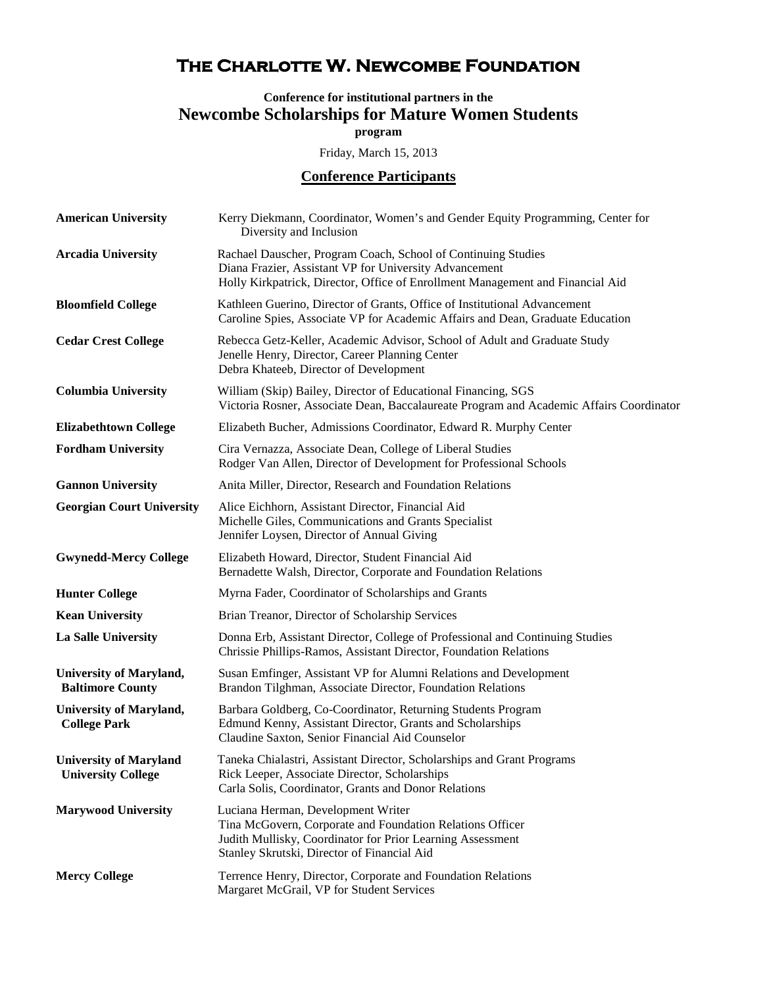## **The Charlotte W. Newcombe Foundation**

## **Conference for institutional partners in the Newcombe Scholarships for Mature Women Students program**

Friday, March 15, 2013

## **Conference Participants**

| <b>American University</b>                                 | Kerry Diekmann, Coordinator, Women's and Gender Equity Programming, Center for<br>Diversity and Inclusion                                                                                                    |
|------------------------------------------------------------|--------------------------------------------------------------------------------------------------------------------------------------------------------------------------------------------------------------|
| <b>Arcadia University</b>                                  | Rachael Dauscher, Program Coach, School of Continuing Studies<br>Diana Frazier, Assistant VP for University Advancement<br>Holly Kirkpatrick, Director, Office of Enrollment Management and Financial Aid    |
| <b>Bloomfield College</b>                                  | Kathleen Guerino, Director of Grants, Office of Institutional Advancement<br>Caroline Spies, Associate VP for Academic Affairs and Dean, Graduate Education                                                  |
| <b>Cedar Crest College</b>                                 | Rebecca Getz-Keller, Academic Advisor, School of Adult and Graduate Study<br>Jenelle Henry, Director, Career Planning Center<br>Debra Khateeb, Director of Development                                       |
| <b>Columbia University</b>                                 | William (Skip) Bailey, Director of Educational Financing, SGS<br>Victoria Rosner, Associate Dean, Baccalaureate Program and Academic Affairs Coordinator                                                     |
| <b>Elizabethtown College</b>                               | Elizabeth Bucher, Admissions Coordinator, Edward R. Murphy Center                                                                                                                                            |
| <b>Fordham University</b>                                  | Cira Vernazza, Associate Dean, College of Liberal Studies<br>Rodger Van Allen, Director of Development for Professional Schools                                                                              |
| <b>Gannon University</b>                                   | Anita Miller, Director, Research and Foundation Relations                                                                                                                                                    |
| <b>Georgian Court University</b>                           | Alice Eichhorn, Assistant Director, Financial Aid<br>Michelle Giles, Communications and Grants Specialist<br>Jennifer Loysen, Director of Annual Giving                                                      |
| <b>Gwynedd-Mercy College</b>                               | Elizabeth Howard, Director, Student Financial Aid<br>Bernadette Walsh, Director, Corporate and Foundation Relations                                                                                          |
| <b>Hunter College</b>                                      | Myrna Fader, Coordinator of Scholarships and Grants                                                                                                                                                          |
| <b>Kean University</b>                                     | Brian Treanor, Director of Scholarship Services                                                                                                                                                              |
| La Salle University                                        | Donna Erb, Assistant Director, College of Professional and Continuing Studies<br>Chrissie Phillips-Ramos, Assistant Director, Foundation Relations                                                           |
| <b>University of Maryland,</b><br><b>Baltimore County</b>  | Susan Emfinger, Assistant VP for Alumni Relations and Development<br>Brandon Tilghman, Associate Director, Foundation Relations                                                                              |
| <b>University of Maryland,</b><br><b>College Park</b>      | Barbara Goldberg, Co-Coordinator, Returning Students Program<br>Edmund Kenny, Assistant Director, Grants and Scholarships<br>Claudine Saxton, Senior Financial Aid Counselor                                 |
| <b>University of Maryland</b><br><b>University College</b> | Taneka Chialastri, Assistant Director, Scholarships and Grant Programs<br>Rick Leeper, Associate Director, Scholarships<br>Carla Solis, Coordinator, Grants and Donor Relations                              |
| <b>Marywood University</b>                                 | Luciana Herman, Development Writer<br>Tina McGovern, Corporate and Foundation Relations Officer<br>Judith Mullisky, Coordinator for Prior Learning Assessment<br>Stanley Skrutski, Director of Financial Aid |
| <b>Mercy College</b>                                       | Terrence Henry, Director, Corporate and Foundation Relations<br>Margaret McGrail, VP for Student Services                                                                                                    |